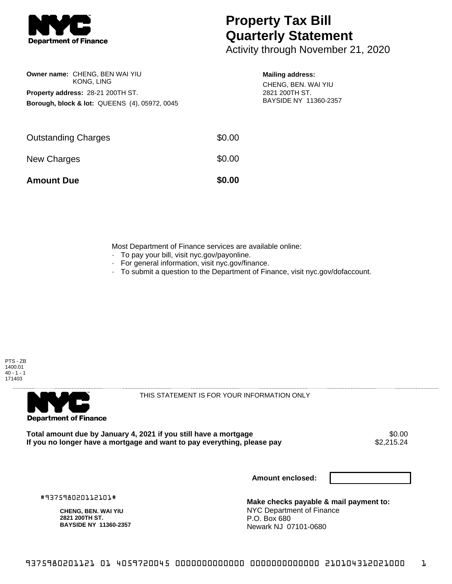

**Owner name:** CHENG, BEN WAI YIU KONG, LING

**Property address:** 28-21 200TH ST.

**Borough, block & lot:** QUEENS (4), 05972, 0045

## **Property Tax Bill Quarterly Statement**

Activity through November 21, 2020

## **Mailing address:**

CHENG, BEN. WAI YIU 2821 200TH ST. BAYSIDE NY 11360-2357

| <b>Amount Due</b>          | \$0.00 |
|----------------------------|--------|
| New Charges                | \$0.00 |
| <b>Outstanding Charges</b> | \$0.00 |

Most Department of Finance services are available online:

- · To pay your bill, visit nyc.gov/payonline.
- For general information, visit nyc.gov/finance.
- · To submit a question to the Department of Finance, visit nyc.gov/dofaccount.





THIS STATEMENT IS FOR YOUR INFORMATION ONLY

Total amount due by January 4, 2021 if you still have a mortgage **\$0.00** \$0.00<br>If you no longer have a mortgage and want to pay everything, please pay **\$2.215.24** If you no longer have a mortgage and want to pay everything, please pay

**Amount enclosed:**

#937598020112101#

**CHENG, BEN. WAI YIU 2821 200TH ST. BAYSIDE NY 11360-2357**

**Make checks payable & mail payment to:** NYC Department of Finance P.O. Box 680 Newark NJ 07101-0680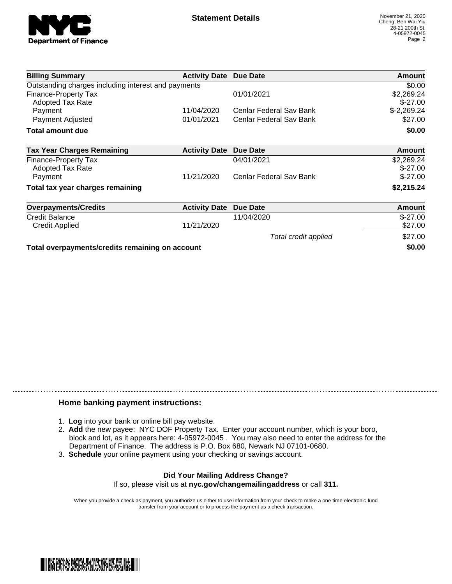

| <b>Billing Summary</b>                                 | <b>Activity Date Due Date</b> |                         | Amount                  |
|--------------------------------------------------------|-------------------------------|-------------------------|-------------------------|
| Outstanding charges including interest and payments    |                               |                         | \$0.00                  |
| <b>Finance-Property Tax</b><br><b>Adopted Tax Rate</b> |                               | 01/01/2021              | \$2,269.24<br>$$-27.00$ |
| Payment                                                | 11/04/2020                    | Cenlar Federal Sav Bank | $$-2,269.24$            |
| Payment Adjusted                                       | 01/01/2021                    | Cenlar Federal Sav Bank | \$27.00                 |
| Total amount due                                       |                               |                         | \$0.00                  |
| <b>Tax Year Charges Remaining</b>                      | <b>Activity Date</b>          | <b>Due Date</b>         | <b>Amount</b>           |
| <b>Finance-Property Tax</b><br><b>Adopted Tax Rate</b> |                               | 04/01/2021              | \$2,269.24<br>$$-27.00$ |
| Payment                                                | 11/21/2020                    | Cenlar Federal Sav Bank | $$-27.00$               |
| Total tax year charges remaining                       |                               |                         | \$2,215.24              |
| <b>Overpayments/Credits</b>                            | <b>Activity Date</b>          | <b>Due Date</b>         | Amount                  |
| <b>Credit Balance</b>                                  |                               | 11/04/2020              | $$-27.00$               |
| Credit Applied                                         | 11/21/2020                    |                         | \$27.00                 |
|                                                        |                               | Total credit applied    | \$27.00                 |
| Total overpayments/credits remaining on account        |                               | \$0.00                  |                         |

## **Home banking payment instructions:**

- 1. **Log** into your bank or online bill pay website.
- 2. **Add** the new payee: NYC DOF Property Tax. Enter your account number, which is your boro, block and lot, as it appears here: 4-05972-0045 . You may also need to enter the address for the Department of Finance. The address is P.O. Box 680, Newark NJ 07101-0680.
- 3. **Schedule** your online payment using your checking or savings account.

## **Did Your Mailing Address Change?** If so, please visit us at **nyc.gov/changemailingaddress** or call **311.**

When you provide a check as payment, you authorize us either to use information from your check to make a one-time electronic fund transfer from your account or to process the payment as a check transaction.